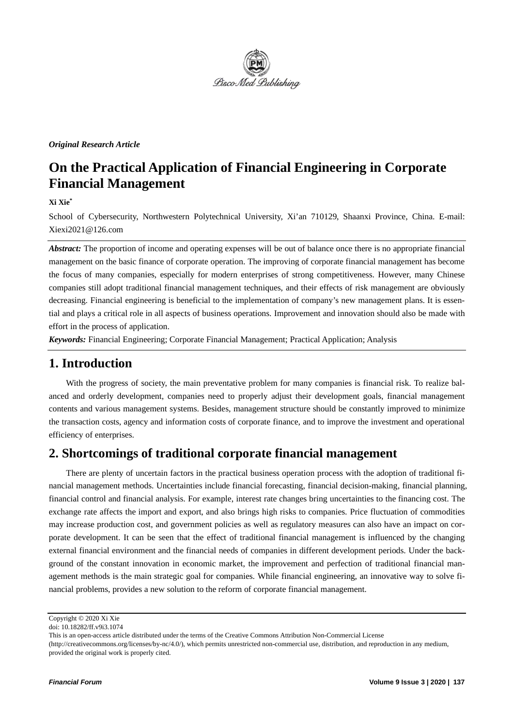

### *Original Research Article*

# **On the Practical Application of Financial Engineering in Corporate Financial Management**

### **Xi Xie\***

School of Cybersecurity, Northwestern Polytechnical University, Xi'an 710129, Shaanxi Province, China. E-mail: Xiexi2021@126.com

*Abstract:* The proportion of income and operating expenses will be out of balance once there is no appropriate financial management on the basic finance of corporate operation. The improving of corporate financial management has become the focus of many companies, especially for modern enterprises of strong competitiveness. However, many Chinese companies still adopt traditional financial management techniques, and their effects of risk management are obviously decreasing. Financial engineering is beneficial to the implementation of company's new management plans. It is essential and plays a critical role in all aspects of business operations. Improvement and innovation should also be made with effort in the process of application.

*Keywords:* Financial Engineering; Corporate Financial Management; Practical Application; Analysis

### **1. Introduction**

With the progress of society, the main preventative problem for many companies is financial risk. To realize balanced and orderly development, companies need to properly adjust their development goals, financial management contents and various management systems. Besides, management structure should be constantly improved to minimize the transaction costs, agency and information costs of corporate finance, and to improve the investment and operational efficiency of enterprises.

### **2. Shortcomings of traditional corporate financial management**

There are plenty of uncertain factors in the practical business operation process with the adoption of traditional financial management methods. Uncertainties include financial forecasting, financial decision-making, financial planning, financial control and financial analysis. For example, interest rate changes bring uncertainties to the financing cost. The exchange rate affects the import and export, and also brings high risks to companies. Price fluctuation of commodities may increase production cost, and government policies as well as regulatory measures can also have an impact on corporate development. It can be seen that the effect of traditional financial management is influenced by the changing external financial environment and the financial needs of companies in different development periods. Under the background of the constant innovation in economic market, the improvement and perfection of traditional financial management methods is the main strategic goal for companies. While financial engineering, an innovative way to solve financial problems, provides a new solution to the reform of corporate financial management.

Copyright © 2020 Xi Xie

doi: 10.18282/ff.v9i3.1074

This is an open-access article distributed under the terms of the Creative Commons Attribution Non-Commercial License

<sup>(</sup>http://creativecommons.org/licenses/by-nc/4.0/), which permits unrestricted non-commercial use, distribution, and reproduction in any medium, provided the original work is properly cited.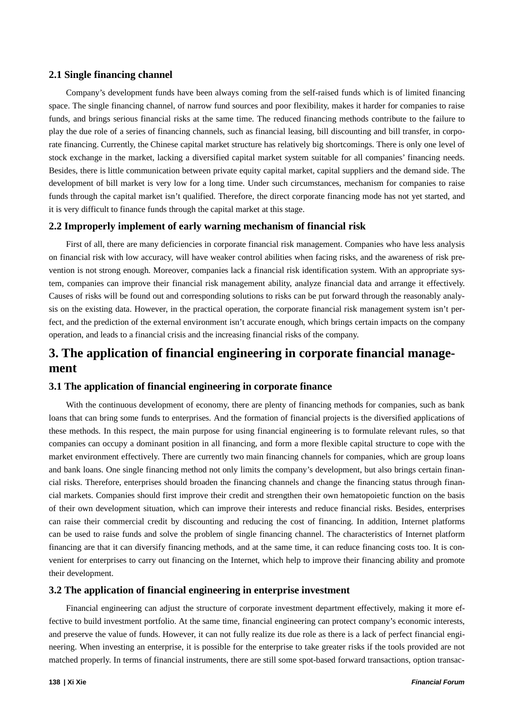### **2.1 Single financing channel**

Company's development funds have been always coming from the self-raised funds which is of limited financing space. The single financing channel, of narrow fund sources and poor flexibility, makes it harder for companies to raise funds, and brings serious financial risks at the same time. The reduced financing methods contribute to the failure to play the due role of a series of financing channels, such as financial leasing, bill discounting and bill transfer, in corporate financing. Currently, the Chinese capital market structure has relatively big shortcomings. There is only one level of stock exchange in the market, lacking a diversified capital market system suitable for all companies' financing needs. Besides, there is little communication between private equity capital market, capital suppliers and the demand side. The development of bill market is very low for a long time. Under such circumstances, mechanism for companies to raise funds through the capital market isn't qualified. Therefore, the direct corporate financing mode has not yet started, and it is very difficult to finance funds through the capital market at this stage.

### **2.2 Improperly implement of early warning mechanism of financial risk**

First of all, there are many deficiencies in corporate financial risk management. Companies who have less analysis on financial risk with low accuracy, will have weaker control abilities when facing risks, and the awareness of risk prevention is not strong enough. Moreover, companies lack a financial risk identification system. With an appropriate system, companies can improve their financial risk management ability, analyze financial data and arrange it effectively. Causes of risks will be found out and corresponding solutions to risks can be put forward through the reasonably analysis on the existing data. However, in the practical operation, the corporate financial risk management system isn't perfect, and the prediction of the external environment isn't accurate enough, which brings certain impacts on the company operation, and leads to a financial crisis and the increasing financial risks of the company.

## **3. The application of financial engineering in corporate financial management**

#### **3.1 The application of financial engineering in corporate finance**

With the continuous development of economy, there are plenty of financing methods for companies, such as bank loans that can bring some funds to enterprises. And the formation of financial projects is the diversified applications of these methods. In this respect, the main purpose for using financial engineering is to formulate relevant rules, so that companies can occupy a dominant position in all financing, and form a more flexible capital structure to cope with the market environment effectively. There are currently two main financing channels for companies, which are group loans and bank loans. One single financing method not only limits the company's development, but also brings certain financial risks. Therefore, enterprises should broaden the financing channels and change the financing status through financial markets. Companies should first improve their credit and strengthen their own hematopoietic function on the basis of their own development situation, which can improve their interests and reduce financial risks. Besides, enterprises can raise their commercial credit by discounting and reducing the cost of financing. In addition, Internet platforms can be used to raise funds and solve the problem of single financing channel. The characteristics of Internet platform financing are that it can diversify financing methods, and at the same time, it can reduce financing costs too. It is convenient for enterprises to carry out financing on the Internet, which help to improve their financing ability and promote their development.

### **3.2 The application of financial engineering in enterprise investment**

Financial engineering can adjust the structure of corporate investment department effectively, making it more effective to build investment portfolio. At the same time, financial engineering can protect company's economic interests, and preserve the value of funds. However, it can not fully realize its due role as there is a lack of perfect financial engineering. When investing an enterprise, it is possible for the enterprise to take greater risks if the tools provided are not matched properly. In terms of financial instruments, there are still some spot-based forward transactions, option transac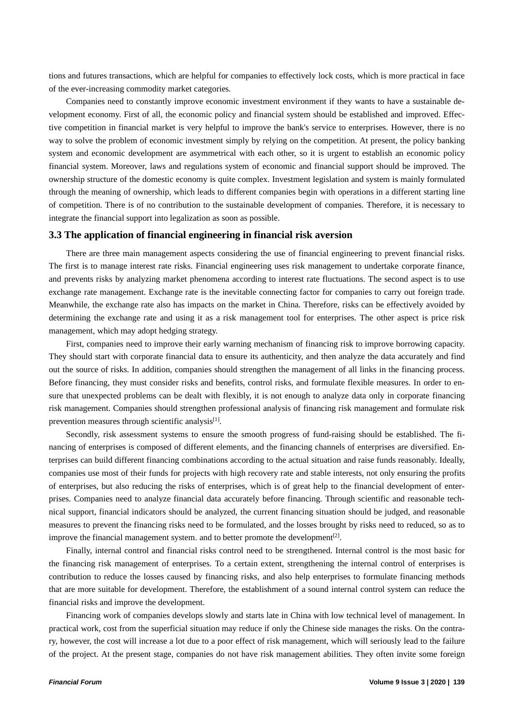tions and futures transactions, which are helpful for companies to effectively lock costs, which is more practical in face of the ever-increasing commodity market categories.

Companies need to constantly improve economic investment environment if they wants to have a sustainable development economy. First of all, the economic policy and financial system should be established and improved. Effective competition in financial market is very helpful to improve the bank's service to enterprises. However, there is no way to solve the problem of economic investment simply by relying on the competition. At present, the policy banking system and economic development are asymmetrical with each other, so it is urgent to establish an economic policy financial system. Moreover, laws and regulations system of economic and financial support should be improved. The ownership structure of the domestic economy is quite complex. Investment legislation and system is mainly formulated through the meaning of ownership, which leads to different companies begin with operations in a different starting line of competition. There is of no contribution to the sustainable development of companies. Therefore, it is necessary to integrate the financial support into legalization as soon as possible.

#### **3.3 The application of financial engineering in financial risk aversion**

There are three main management aspects considering the use of financial engineering to prevent financial risks. The first is to manage interest rate risks. Financial engineering uses risk management to undertake corporate finance, and prevents risks by analyzing market phenomena according to interest rate fluctuations. The second aspect is to use exchange rate management. Exchange rate is the inevitable connecting factor for companies to carry out foreign trade. Meanwhile, the exchange rate also has impacts on the market in China. Therefore, risks can be effectively avoided by determining the exchange rate and using it as a risk management tool for enterprises. The other aspect is price risk management, which may adopt hedging strategy.

First, companies need to improve their early warning mechanism of financing risk to improve borrowing capacity. They should start with corporate financial data to ensure its authenticity, and then analyze the data accurately and find out the source of risks. In addition, companies should strengthen the management of all links in the financing process. Before financing, they must consider risks and benefits, control risks, and formulate flexible measures. In order to ensure that unexpected problems can be dealt with flexibly, it is not enough to analyze data only in corporate financing risk management. Companies should strengthen professional analysis of financing risk management and formulate risk prevention measures through scientific analysis $[1]$ .

Secondly, risk assessment systems to ensure the smooth progress of fund-raising should be established. The financing of enterprises is composed of different elements, and the financing channels of enterprises are diversified. Enterprises can build different financing combinations according to the actual situation and raise funds reasonably. Ideally, companies use most of their funds for projects with high recovery rate and stable interests, not only ensuring the profits of enterprises, but also reducing the risks of enterprises, which is of great help to the financial development of enterprises. Companies need to analyze financial data accurately before financing. Through scientific and reasonable technical support, financial indicators should be analyzed, the current financing situation should be judged, and reasonable measures to prevent the financing risks need to be formulated, and the losses brought by risks need to reduced, so as to improve the financial management system. and to better promote the development<sup>[2]</sup>.

Finally, internal control and financial risks control need to be strengthened. Internal control is the most basic for the financing risk management of enterprises. To a certain extent, strengthening the internal control of enterprises is contribution to reduce the losses caused by financing risks, and also help enterprises to formulate financing methods that are more suitable for development. Therefore, the establishment of a sound internal control system can reduce the financial risks and improve the development.

Financing work of companies develops slowly and starts late in China with low technical level of management. In practical work, cost from the superficial situation may reduce if only the Chinese side manages the risks. On the contrary, however, the cost will increase a lot due to a poor effect of risk management, which will seriously lead to the failure of the project. At the present stage, companies do not have risk management abilities. They often invite some foreign